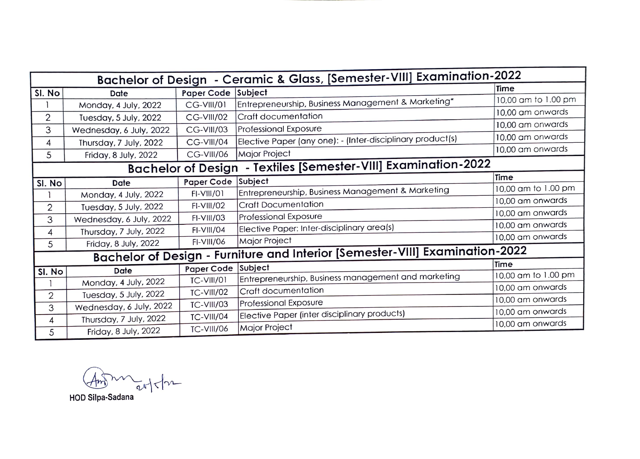| Bachelor of Design - Ceramic & Glass, [Semester-VIII] Examination-2022 |                                                                                     |                    |                                                                         |                     |  |  |  |
|------------------------------------------------------------------------|-------------------------------------------------------------------------------------|--------------------|-------------------------------------------------------------------------|---------------------|--|--|--|
| SI. No                                                                 | Date                                                                                | Paper Code Subject |                                                                         | Time                |  |  |  |
|                                                                        | Monday, 4 July, 2022                                                                | <b>CG-VIII/01</b>  | $ \mathsf{Ent} \mathsf{represent}$ Business Management & Marketing $^*$ | 10,00 am to 1.00 pm |  |  |  |
| 2                                                                      | Tuesday, 5 July, 2022                                                               | CG-VIII/02         | Craft documentation                                                     | 10,00 am onwards    |  |  |  |
| 3                                                                      | Wednesday, 6 July, 2022                                                             | <b>CG-VIII/03</b>  | <b>Professional Exposure</b>                                            | 10,00 am onwards    |  |  |  |
| 4                                                                      | Thursday, 7 July, 2022                                                              | <b>CG-VIII/04</b>  | Elective Paper (any one): - (Inter-disciplinary product(s)              | 10,00 am onwards    |  |  |  |
|                                                                        |                                                                                     | <b>CG-VIII/06</b>  | Major Project                                                           | 10,00 am onwards    |  |  |  |
|                                                                        | 5<br>Friday, 8 July, 2022<br>- Textiles [Semester-VIII] Examination-2022            |                    |                                                                         |                     |  |  |  |
|                                                                        | <b>Bachelor of Design</b><br>Time                                                   |                    |                                                                         |                     |  |  |  |
| SI. No                                                                 | Date                                                                                | Paper Code Subject |                                                                         |                     |  |  |  |
|                                                                        | Monday, 4 July, 2022                                                                | FI-VIII/01         | Entrepreneurship, Business Management & Marketing                       | 10,00 am to 1.00 pm |  |  |  |
| $\overline{2}$                                                         | Tuesday, 5 July, 2022                                                               | FI-VIII/02         | <b>Craft Documentation</b>                                              | 10,00 am onwards    |  |  |  |
| 3                                                                      | Wednesday, 6 July, 2022                                                             | FI-VIII/03         | Professional Exposure                                                   | 10,00 am onwards    |  |  |  |
| 4                                                                      | Thursday, 7 July, 2022                                                              | FI-VIII/04         | Elective Paper: Inter-disciplinary area(s)                              | 10,00 am onwards    |  |  |  |
| 5                                                                      | Friday, 8 July, 2022                                                                | FI-VIII/06         | Major Project                                                           | 10,00 am onwards    |  |  |  |
|                                                                        | <b>Bachelor of Design - Furniture and Interior [Semester-VIII] Examination-2022</b> |                    |                                                                         |                     |  |  |  |
| Time<br>Paper Code Subject                                             |                                                                                     |                    |                                                                         |                     |  |  |  |
| SI. No                                                                 | Date                                                                                |                    | Entrepreneurship, Business management and marketing                     | 10,00 am to 1.00 pm |  |  |  |
|                                                                        | Monday, 4 July, 2022                                                                | <b>TC-VIII/01</b>  |                                                                         | 10,00 am onwards    |  |  |  |
| 2                                                                      | Tuesday, 5 July, 2022                                                               | <b>TC-VIII/02</b>  | Craft documentation                                                     | 10,00 am onwards    |  |  |  |
| 3                                                                      | Wednesday, 6 July, 2022                                                             | <b>TC-VIII/03</b>  | Professional Exposure                                                   |                     |  |  |  |
| 4                                                                      | Thursday, 7 July, 2022                                                              | TC-VIII/04         | Elective Paper (inter disciplinary products)                            | 10,00 am onwards    |  |  |  |
| 5                                                                      | Friday, 8 July, 2022                                                                | <b>TC-VIII/06</b>  | Major Project                                                           | 10,00 am onwards    |  |  |  |

 $A$ 

HOD Silpa-Sadana